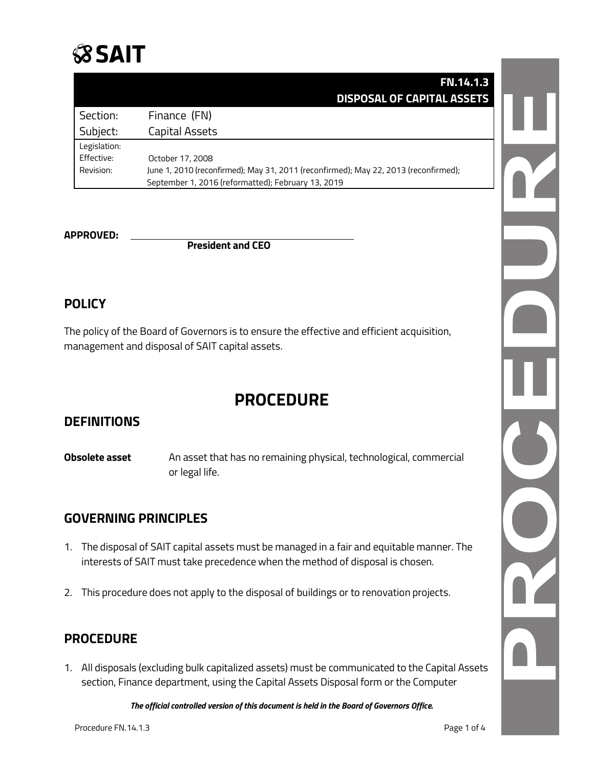

|              | <b>FN.14.1.3</b>                                                                    |
|--------------|-------------------------------------------------------------------------------------|
|              | <b>DISPOSAL OF CAPITAL ASSETS</b>                                                   |
| Section:     | Finance (FN)                                                                        |
| Subject:     | Capital Assets                                                                      |
| Legislation: |                                                                                     |
| Effective:   | October 17, 2008                                                                    |
| Revision:    | June 1, 2010 (reconfirmed); May 31, 2011 (reconfirmed); May 22, 2013 (reconfirmed); |
|              | September 1, 2016 (reformatted); February 13, 2019                                  |

**APPROVED: President and CEO**

#### **POLICY**

The policy of the Board of Governors is to ensure the effective and efficient acquisition, management and disposal of SAIT capital assets.

### **PROCEDURE**

#### **DEFINITIONS**

**Obsolete asset** An asset that has no remaining physical, technological, commercial or legal life.

#### **GOVERNING PRINCIPLES**

- 1. The disposal of SAIT capital assets must be managed in a fair and equitable manner. The interests of SAIT must take precedence when the method of disposal is chosen.
- 2. This procedure does not apply to the disposal of buildings or to renovation projects.

#### **PROCEDURE**

1. All disposals (excluding bulk capitalized assets) must be communicated to the Capital Assets section, Finance department, using the Capital Assets Disposal form or the Computer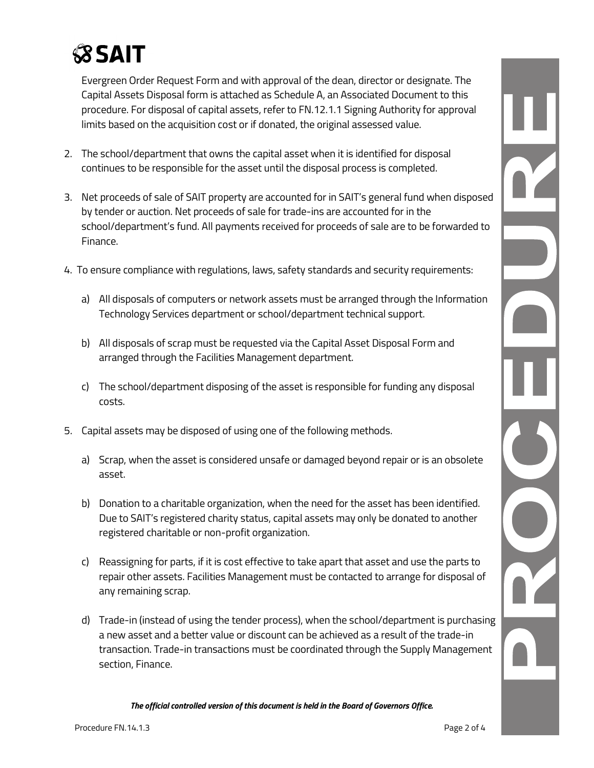## **SSAIT**

Evergreen Order Request Form and with approval of the dean, director or designate. The Capital Assets Disposal form is attached as Schedule A, an Associated Document to this procedure. For disposal of capital assets, refer to [FN.12.1.1 Signing Authority](https://www.sait.ca/about-sait/administration/policies-and-procedures/finance) for approval limits based on the acquisition cost or if donated, the original assessed value.

- 2. The school/department that owns the capital asset when it is identified for disposal continues to be responsible for the asset until the disposal process is completed.
- 3. Net proceeds of sale of SAIT property are accounted for in SAIT's general fund when disposed by tender or auction. Net proceeds of sale for trade-ins are accounted for in the school/department's fund. All payments received for proceeds of sale are to be forwarded to Finance.
- 4. To ensure compliance with regulations, laws, safety standards and security requirements:
	- a) All disposals of computers or network assets must be arranged through the Information Technology Services department or school/department technical support.
	- b) All disposals of scrap must be requested via the Capital Asset Disposal Form and arranged through the Facilities Management department.
	- c) The school/department disposing of the asset is responsible for funding any disposal costs.
- 5. Capital assets may be disposed of using one of the following methods.
	- a) Scrap, when the asset is considered unsafe or damaged beyond repair or is an obsolete asset.
	- b) Donation to a charitable organization, when the need for the asset has been identified. Due to SAIT's registered charity status, capital assets may only be donated to another registered charitable or non-profit organization.
	- c) Reassigning for parts, if it is cost effective to take apart that asset and use the parts to repair other assets. Facilities Management must be contacted to arrange for disposal of any remaining scrap.
	- d) Trade-in (instead of using the tender process), when the school/department is purchasing a new asset and a better value or discount can be achieved as a result of the trade-in transaction. Trade-in transactions must be coordinated through the Supply Management section, Finance.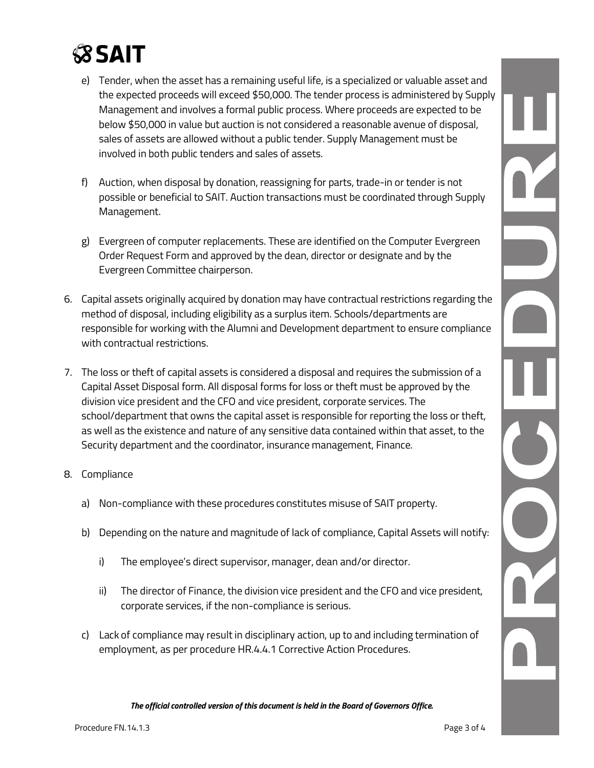# **SSAIT**

- e) Tender, when the asset has a remaining useful life, is a specialized or valuable asset and the expected proceeds will exceed \$50,000. The tender process is administered by Supply Management and involves a formal public process. Where proceeds are expected to be below \$50,000 in value but auction is not considered a reasonable avenue of disposal, sales of assets are allowed without a public tender. Supply Management must be involved in both public tenders and sales of assets.
- f) Auction, when disposal by donation, reassigning for parts, trade-in or tender is not possible or beneficial to SAIT. Auction transactions must be coordinated through Supply Management.
- g) Evergreen of computer replacements. These are identified on the Computer Evergreen Order Request Form and approved by the dean, director or designate and by the Evergreen Committee chairperson.
- 6. Capital assets originally acquired by donation may have contractual restrictions regarding the method of disposal, including eligibility as a surplus item. Schools/departments are responsible for working with the Alumni and Development department to ensure compliance with contractual restrictions.
- 7. The loss or theft of capital assets is considered a disposal and requires the submission of a Capital Asset Disposal form. All disposal forms for loss or theft must be approved by the division vice president and the CFO and vice president, corporate services. The school/department that owns the capital asset is responsible for reporting the loss or theft, as well as the existence and nature of any sensitive data contained within that asset, to the Security department and the coordinator, insurance management, Finance.
- 8. Compliance
	- a) Non-compliance with these procedures constitutes misuse of SAIT property.
	- b) Depending on the nature and magnitude of lack of compliance, Capital Assets will notify:
		- i) The employee's direct supervisor, manager, dean and/or director.
		- ii) The director of Finance, the division vice president and the CFO and vice president, corporate services, if the non-compliance is serious.
	- c) Lack of compliance may result in disciplinary action, up to and including termination of employment, as per procedure HR.4.4.1 Corrective Action Procedures.